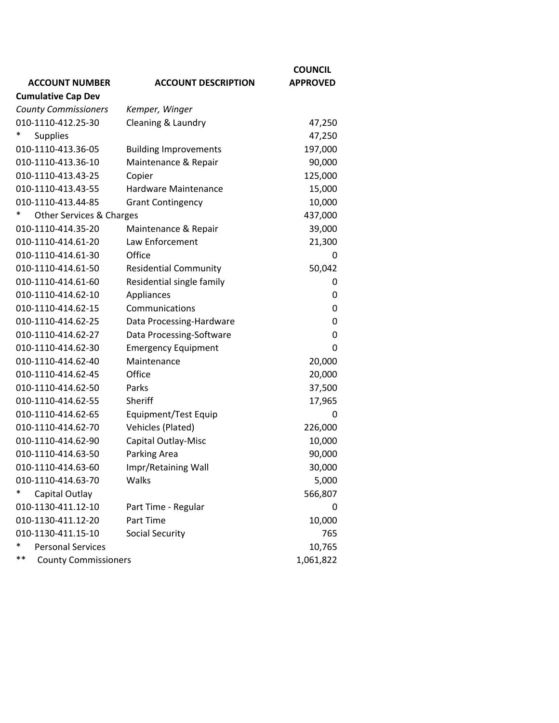|                                      |                              | <b>COUNCIL</b>  |
|--------------------------------------|------------------------------|-----------------|
| <b>ACCOUNT NUMBER</b>                | <b>ACCOUNT DESCRIPTION</b>   | <b>APPROVED</b> |
| <b>Cumulative Cap Dev</b>            |                              |                 |
| <b>County Commissioners</b>          | Kemper, Winger               |                 |
| 010-1110-412.25-30                   | Cleaning & Laundry           | 47,250          |
| <b>Supplies</b>                      |                              | 47,250          |
| 010-1110-413.36-05                   | <b>Building Improvements</b> | 197,000         |
| 010-1110-413.36-10                   | Maintenance & Repair         | 90,000          |
| 010-1110-413.43-25                   | Copier                       | 125,000         |
| 010-1110-413.43-55                   | Hardware Maintenance         | 15,000          |
| 010-1110-413.44-85                   | <b>Grant Contingency</b>     | 10,000          |
| ∗<br>Other Services & Charges        |                              | 437,000         |
| 010-1110-414.35-20                   | Maintenance & Repair         | 39,000          |
| 010-1110-414.61-20                   | Law Enforcement              | 21,300          |
| 010-1110-414.61-30                   | Office                       | 0               |
| 010-1110-414.61-50                   | <b>Residential Community</b> | 50,042          |
| 010-1110-414.61-60                   | Residential single family    | 0               |
| 010-1110-414.62-10                   | Appliances                   | 0               |
| 010-1110-414.62-15                   | Communications               | 0               |
| 010-1110-414.62-25                   | Data Processing-Hardware     | 0               |
| 010-1110-414.62-27                   | Data Processing-Software     | 0               |
| 010-1110-414.62-30                   | <b>Emergency Equipment</b>   | 0               |
| 010-1110-414.62-40                   | Maintenance                  | 20,000          |
| 010-1110-414.62-45                   | Office                       | 20,000          |
| 010-1110-414.62-50                   | Parks                        | 37,500          |
| 010-1110-414.62-55                   | Sheriff                      | 17,965          |
| 010-1110-414.62-65                   | Equipment/Test Equip         | 0               |
| 010-1110-414.62-70                   | <b>Vehicles (Plated)</b>     | 226,000         |
| 010-1110-414.62-90                   | Capital Outlay-Misc          | 10,000          |
| 010-1110-414.63-50                   | Parking Area                 | 90,000          |
| 010-1110-414.63-60                   | Impr/Retaining Wall          | 30,000          |
| 010-1110-414.63-70                   | Walks                        | 5,000           |
| Capital Outlay                       |                              | 566,807         |
| 010-1130-411.12-10                   | Part Time - Regular          | 0               |
| 010-1130-411.12-20                   | Part Time                    | 10,000          |
| 010-1130-411.15-10                   | <b>Social Security</b>       | 765             |
| <b>Personal Services</b>             |                              | 10,765          |
| $***$<br><b>County Commissioners</b> |                              | 1,061,822       |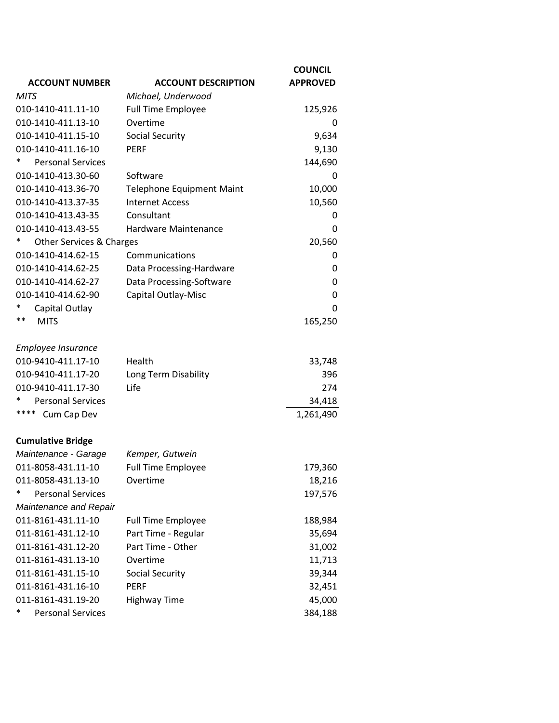|                                                  |                                  | <b>COUNCIL</b>  |
|--------------------------------------------------|----------------------------------|-----------------|
| <b>ACCOUNT NUMBER</b>                            | <b>ACCOUNT DESCRIPTION</b>       | <b>APPROVED</b> |
| <b>MITS</b>                                      | Michael, Underwood               |                 |
| 010-1410-411.11-10                               | <b>Full Time Employee</b>        | 125,926         |
| 010-1410-411.13-10                               | Overtime                         | 0               |
| 010-1410-411.15-10                               | <b>Social Security</b>           | 9,634           |
| 010-1410-411.16-10                               | <b>PERF</b>                      | 9,130           |
| <b>Personal Services</b>                         |                                  | 144,690         |
| 010-1410-413.30-60                               | Software                         | 0               |
| 010-1410-413.36-70                               | <b>Telephone Equipment Maint</b> | 10,000          |
| 010-1410-413.37-35                               | <b>Internet Access</b>           | 10,560          |
| 010-1410-413.43-35                               | Consultant                       | 0               |
| 010-1410-413.43-55                               | Hardware Maintenance             | 0               |
| *<br><b>Other Services &amp; Charges</b>         |                                  | 20,560          |
| 010-1410-414.62-15                               | Communications                   | 0               |
| 010-1410-414.62-25                               | Data Processing-Hardware         | 0               |
| 010-1410-414.62-27                               | Data Processing-Software         | 0               |
| 010-1410-414.62-90                               | Capital Outlay-Misc              | 0               |
| *<br>Capital Outlay                              |                                  | 0               |
| **<br><b>MITS</b>                                |                                  | 165,250         |
|                                                  |                                  |                 |
| Employee Insurance                               |                                  |                 |
| 010-9410-411.17-10                               | Health                           | 33,748          |
| 010-9410-411.17-20                               | Long Term Disability             | 396             |
| 010-9410-411.17-30                               | Life                             | 274             |
| *<br><b>Personal Services</b>                    |                                  | 34,418          |
| ****<br>Cum Cap Dev                              |                                  | 1,261,490       |
|                                                  |                                  |                 |
| <b>Cumulative Bridge</b><br>Maintenance - Garage | Kemper, Gutwein                  |                 |
| 011-8058-431.11-10                               | <b>Full Time Employee</b>        | 179,360         |
| 011-8058-431.13-10                               | Overtime                         | 18,216          |
| *<br><b>Personal Services</b>                    |                                  | 197,576         |
| Maintenance and Repair                           |                                  |                 |
| 011-8161-431.11-10                               |                                  |                 |
| 011-8161-431.12-10                               | <b>Full Time Employee</b>        | 188,984         |
|                                                  | Part Time - Regular              | 35,694          |
| 011-8161-431.12-20                               | Part Time - Other                | 31,002          |
| 011-8161-431.13-10                               | Overtime                         | 11,713          |
| 011-8161-431.15-10                               | <b>Social Security</b>           | 39,344          |
| 011-8161-431.16-10                               | <b>PERF</b>                      | 32,451          |
| 011-8161-431.19-20                               | <b>Highway Time</b>              | 45,000          |
| ∗<br><b>Personal Services</b>                    |                                  | 384,188         |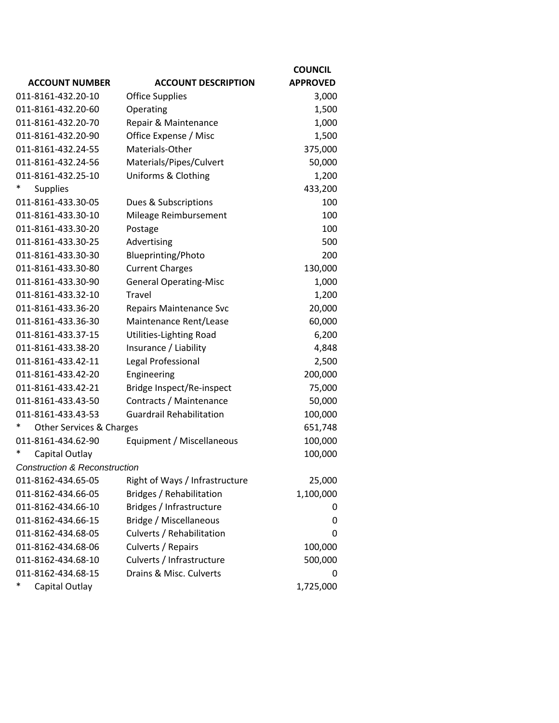|                                               |                                 | <b>COUNCIL</b>  |
|-----------------------------------------------|---------------------------------|-----------------|
| <b>ACCOUNT NUMBER</b>                         | <b>ACCOUNT DESCRIPTION</b>      | <b>APPROVED</b> |
| 011-8161-432.20-10                            | <b>Office Supplies</b>          | 3,000           |
| 011-8161-432.20-60                            | Operating                       | 1,500           |
| 011-8161-432.20-70                            | Repair & Maintenance            | 1,000           |
| 011-8161-432.20-90                            | Office Expense / Misc           | 1,500           |
| 011-8161-432.24-55                            | Materials-Other                 | 375,000         |
| 011-8161-432.24-56                            | Materials/Pipes/Culvert         | 50,000          |
| 011-8161-432.25-10                            | Uniforms & Clothing             | 1,200           |
| <b>Supplies</b>                               |                                 | 433,200         |
| 011-8161-433.30-05                            | Dues & Subscriptions            | 100             |
| 011-8161-433.30-10                            | Mileage Reimbursement           | 100             |
| 011-8161-433.30-20                            | Postage                         | 100             |
| 011-8161-433.30-25                            | Advertising                     | 500             |
| 011-8161-433.30-30                            | Blueprinting/Photo              | 200             |
| 011-8161-433.30-80                            | <b>Current Charges</b>          | 130,000         |
| 011-8161-433.30-90                            | <b>General Operating-Misc</b>   | 1,000           |
| 011-8161-433.32-10                            | <b>Travel</b>                   | 1,200           |
| 011-8161-433.36-20                            | <b>Repairs Maintenance Svc</b>  | 20,000          |
| 011-8161-433.36-30                            | Maintenance Rent/Lease          | 60,000          |
| 011-8161-433.37-15                            | Utilities-Lighting Road         | 6,200           |
| 011-8161-433.38-20                            | Insurance / Liability           | 4,848           |
| 011-8161-433.42-11                            | Legal Professional              | 2,500           |
| 011-8161-433.42-20                            | Engineering                     | 200,000         |
| 011-8161-433.42-21                            | Bridge Inspect/Re-inspect       | 75,000          |
| 011-8161-433.43-50                            | Contracts / Maintenance         | 50,000          |
| 011-8161-433.43-53                            | <b>Guardrail Rehabilitation</b> | 100,000         |
| $\ast$<br><b>Other Services &amp; Charges</b> |                                 | 651,748         |
| 011-8161-434.62-90                            | Equipment / Miscellaneous       | 100,000         |
| Capital Outlay                                |                                 | 100,000         |
| Construction & Reconstruction                 |                                 |                 |
| 011-8162-434.65-05                            | Right of Ways / Infrastructure  | 25,000          |
| 011-8162-434.66-05                            | Bridges / Rehabilitation        | 1,100,000       |
| 011-8162-434.66-10                            | Bridges / Infrastructure        | 0               |
| 011-8162-434.66-15                            | Bridge / Miscellaneous          | 0               |
| 011-8162-434.68-05                            | Culverts / Rehabilitation       | 0               |
| 011-8162-434.68-06                            | Culverts / Repairs              | 100,000         |
| 011-8162-434.68-10                            | Culverts / Infrastructure       | 500,000         |
| 011-8162-434.68-15                            | Drains & Misc. Culverts         | 0               |
| ∗<br>Capital Outlay                           |                                 | 1,725,000       |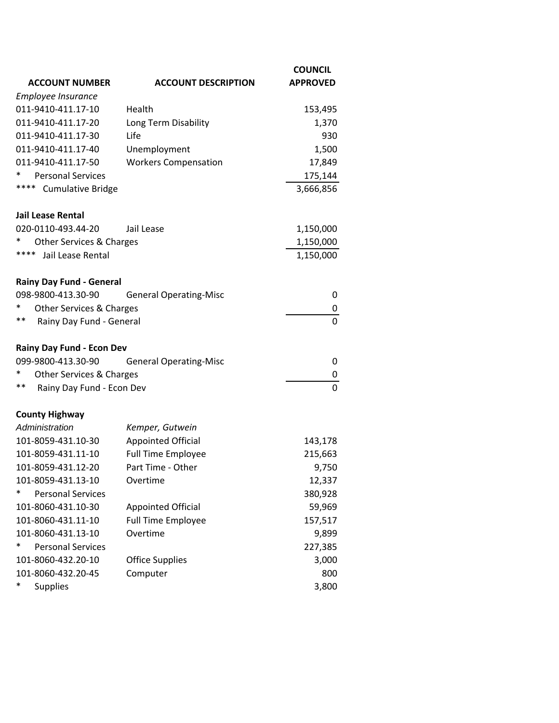| <b>ACCOUNT NUMBER</b>              | <b>ACCOUNT DESCRIPTION</b>    | <b>COUNCIL</b><br><b>APPROVED</b> |
|------------------------------------|-------------------------------|-----------------------------------|
| Employee Insurance                 |                               |                                   |
| 011-9410-411.17-10                 | Health                        | 153,495                           |
| 011-9410-411.17-20                 | Long Term Disability          | 1,370                             |
| 011-9410-411.17-30                 | Life                          | 930                               |
| 011-9410-411.17-40                 | Unemployment                  | 1,500                             |
| 011-9410-411.17-50                 | <b>Workers Compensation</b>   | 17,849                            |
| <b>Personal Services</b><br>*      |                               | 175,144                           |
| ****<br><b>Cumulative Bridge</b>   |                               | 3,666,856                         |
| Jail Lease Rental                  |                               |                                   |
| 020-0110-493.44-20                 | Jail Lease                    | 1,150,000                         |
| $\ast$<br>Other Services & Charges |                               | 1,150,000                         |
| ****<br>Jail Lease Rental          |                               | 1,150,000                         |
| <b>Rainy Day Fund - General</b>    |                               |                                   |
| 098-9800-413.30-90                 | <b>General Operating-Misc</b> | 0                                 |
| ∗<br>Other Services & Charges      |                               | 0                                 |
| **<br>Rainy Day Fund - General     |                               | $\Omega$                          |
| Rainy Day Fund - Econ Dev          |                               |                                   |
| 099-9800-413.30-90                 | <b>General Operating-Misc</b> | 0                                 |
| ∗<br>Other Services & Charges      |                               | 0                                 |
| **<br>Rainy Day Fund - Econ Dev    |                               | $\Omega$                          |
| <b>County Highway</b>              |                               |                                   |
| Administration                     | Kemper, Gutwein               |                                   |
| 101-8059-431.10-30                 | <b>Appointed Official</b>     | 143,178                           |
| 101-8059-431.11-10                 | <b>Full Time Employee</b>     | 215,663                           |
| 101-8059-431.12-20                 | Part Time - Other             | 9,750                             |
| 101-8059-431.13-10                 | Overtime                      | 12,337                            |
| *<br><b>Personal Services</b>      |                               | 380,928                           |
| 101-8060-431.10-30                 | <b>Appointed Official</b>     | 59,969                            |
| 101-8060-431.11-10                 | <b>Full Time Employee</b>     | 157,517                           |
| 101-8060-431.13-10                 | Overtime                      | 9,899                             |
| <b>Personal Services</b><br>∗      |                               | 227,385                           |
| 101-8060-432.20-10                 | <b>Office Supplies</b>        | 3,000                             |
| 101-8060-432.20-45                 | Computer                      | 800                               |
| $\ast$<br><b>Supplies</b>          |                               | 3,800                             |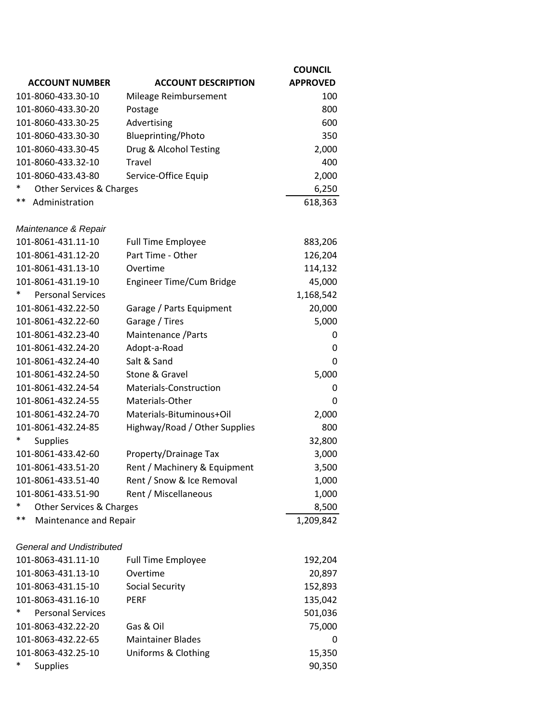|                                  |                               | <b>COUNCIL</b>  |
|----------------------------------|-------------------------------|-----------------|
| <b>ACCOUNT NUMBER</b>            | <b>ACCOUNT DESCRIPTION</b>    | <b>APPROVED</b> |
| 101-8060-433.30-10               | Mileage Reimbursement         | 100             |
| 101-8060-433.30-20               | Postage                       | 800             |
| 101-8060-433.30-25               | Advertising                   | 600             |
| 101-8060-433.30-30               | Blueprinting/Photo            | 350             |
| 101-8060-433.30-45               | Drug & Alcohol Testing        | 2,000           |
| 101-8060-433.32-10               | <b>Travel</b>                 | 400             |
| 101-8060-433.43-80               | Service-Office Equip          | 2,000           |
| *<br>Other Services & Charges    |                               | 6,250           |
| **<br>Administration             |                               | 618,363         |
| Maintenance & Repair             |                               |                 |
| 101-8061-431.11-10               | Full Time Employee            | 883,206         |
| 101-8061-431.12-20               | Part Time - Other             | 126,204         |
| 101-8061-431.13-10               | Overtime                      | 114,132         |
| 101-8061-431.19-10               | Engineer Time/Cum Bridge      | 45,000          |
| *<br><b>Personal Services</b>    |                               | 1,168,542       |
| 101-8061-432.22-50               | Garage / Parts Equipment      | 20,000          |
| 101-8061-432.22-60               | Garage / Tires                | 5,000           |
| 101-8061-432.23-40               | Maintenance / Parts           | 0               |
| 101-8061-432.24-20               | Adopt-a-Road                  | 0               |
| 101-8061-432.24-40               | Salt & Sand                   | $\Omega$        |
| 101-8061-432.24-50               | Stone & Gravel                | 5,000           |
| 101-8061-432.24-54               | <b>Materials-Construction</b> | 0               |
| 101-8061-432.24-55               | Materials-Other               | 0               |
| 101-8061-432.24-70               | Materials-Bituminous+Oil      | 2,000           |
| 101-8061-432.24-85               | Highway/Road / Other Supplies | 800             |
| ∗<br><b>Supplies</b>             |                               | 32,800          |
| 101-8061-433.42-60               | Property/Drainage Tax         | 3,000           |
| 101-8061-433.51-20               | Rent / Machinery & Equipment  | 3,500           |
| 101-8061-433.51-40               | Rent / Snow & Ice Removal     | 1,000           |
| 101-8061-433.51-90               | Rent / Miscellaneous          | 1,000           |
| Other Services & Charges         |                               | 8,500           |
| $***$<br>Maintenance and Repair  |                               | 1,209,842       |
| <b>General and Undistributed</b> |                               |                 |
| 101-8063-431.11-10               | <b>Full Time Employee</b>     | 192,204         |
| 101-8063-431.13-10               | Overtime                      | 20,897          |
| 101-8063-431.15-10               | <b>Social Security</b>        | 152,893         |
| 101-8063-431.16-10               | <b>PERF</b>                   | 135,042         |
| *<br><b>Personal Services</b>    |                               | 501,036         |
| 101-8063-432.22-20               | Gas & Oil                     | 75,000          |
| 101-8063-432.22-65               | <b>Maintainer Blades</b>      | 0               |
| 101-8063-432.25-10               | Uniforms & Clothing           | 15,350          |
| *<br><b>Supplies</b>             |                               | 90,350          |
|                                  |                               |                 |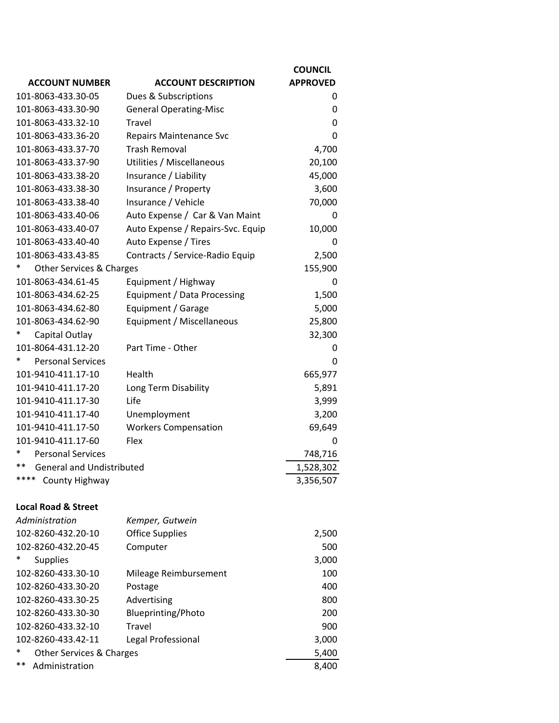|                                           |                                   | <b>COUNCIL</b>  |
|-------------------------------------------|-----------------------------------|-----------------|
| <b>ACCOUNT NUMBER</b>                     | <b>ACCOUNT DESCRIPTION</b>        | <b>APPROVED</b> |
| 101-8063-433.30-05                        | Dues & Subscriptions              | 0               |
| 101-8063-433.30-90                        | <b>General Operating-Misc</b>     | 0               |
| 101-8063-433.32-10                        | Travel                            | 0               |
| 101-8063-433.36-20                        | <b>Repairs Maintenance Svc</b>    | 0               |
| 101-8063-433.37-70                        | <b>Trash Removal</b>              | 4,700           |
| 101-8063-433.37-90                        | Utilities / Miscellaneous         | 20,100          |
| 101-8063-433.38-20                        | Insurance / Liability             | 45,000          |
| 101-8063-433.38-30                        | Insurance / Property              | 3,600           |
| 101-8063-433.38-40                        | Insurance / Vehicle               | 70,000          |
| 101-8063-433.40-06                        | Auto Expense / Car & Van Maint    | 0               |
| 101-8063-433.40-07                        | Auto Expense / Repairs-Svc. Equip | 10,000          |
| 101-8063-433.40-40                        | Auto Expense / Tires              | 0               |
| 101-8063-433.43-85                        | Contracts / Service-Radio Equip   | 2,500           |
| Other Services & Charges                  |                                   | 155,900         |
| 101-8063-434.61-45                        | Equipment / Highway               | 0               |
| 101-8063-434.62-25                        | Equipment / Data Processing       | 1,500           |
| 101-8063-434.62-80                        | Equipment / Garage                | 5,000           |
| 101-8063-434.62-90                        | Equipment / Miscellaneous         | 25,800          |
| Capital Outlay                            |                                   | 32,300          |
| 101-8064-431.12-20                        | Part Time - Other                 | 0               |
| <b>Personal Services</b>                  |                                   | 0               |
| 101-9410-411.17-10                        | Health                            | 665,977         |
| 101-9410-411.17-20                        | Long Term Disability              | 5,891           |
| 101-9410-411.17-30                        | Life                              | 3,999           |
| 101-9410-411.17-40                        | Unemployment                      | 3,200           |
| 101-9410-411.17-50                        | <b>Workers Compensation</b>       | 69,649          |
| 101-9410-411.17-60                        | Flex                              | 0               |
| *<br><b>Personal Services</b>             |                                   | 748,716         |
| $***$<br><b>General and Undistributed</b> |                                   | 1,528,302       |
| ****<br>County Highway                    |                                   | 3,356,507       |
| <b>Local Road &amp; Street</b>            |                                   |                 |
| Administration                            | Kemper, Gutwein                   |                 |
| 102-8260-432.20-10                        | <b>Office Supplies</b>            | 2,500           |
| 102-8260-432.20-45                        | Computer                          | 500             |
| <b>Supplies</b>                           |                                   | 3,000           |
| 102-8260-433.30-10                        | Mileage Reimbursement             | 100             |
| 102-8260-433.30-20                        | Postage                           | 400             |
| 102-8260-433.30-25                        | Advertising                       | 800             |
| 102-8260-433.30-30                        | Blueprinting/Photo                | 200             |
| 102-8260-433.32-10                        | Travel                            | 900             |
| 102-8260-433.42-11                        | Legal Professional                | 3,000           |

| $\ast$ | <b>Other Services &amp; Charges</b> | 5.400 |
|--------|-------------------------------------|-------|
|        | ** Administration                   | 8.400 |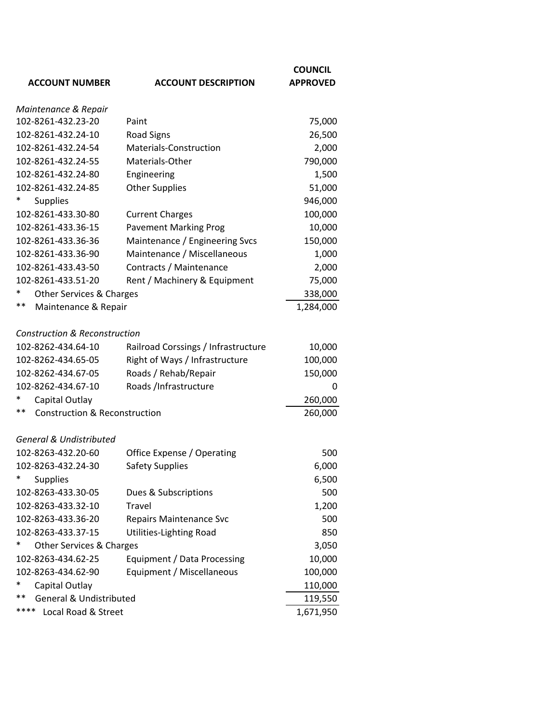| <b>ACCOUNT NUMBER</b>                             | <b>ACCOUNT DESCRIPTION</b>          | <b>COUNCIL</b><br><b>APPROVED</b> |
|---------------------------------------------------|-------------------------------------|-----------------------------------|
| Maintenance & Repair                              |                                     |                                   |
| 102-8261-432.23-20                                | Paint                               | 75,000                            |
| 102-8261-432.24-10                                | <b>Road Signs</b>                   | 26,500                            |
| 102-8261-432.24-54                                | <b>Materials-Construction</b>       | 2,000                             |
| 102-8261-432.24-55                                | Materials-Other                     | 790,000                           |
| 102-8261-432.24-80                                | Engineering                         | 1,500                             |
| 102-8261-432.24-85                                | <b>Other Supplies</b>               | 51,000                            |
| <b>Supplies</b>                                   |                                     | 946,000                           |
| 102-8261-433.30-80                                | <b>Current Charges</b>              | 100,000                           |
| 102-8261-433.36-15                                | <b>Pavement Marking Prog</b>        | 10,000                            |
| 102-8261-433.36-36                                | Maintenance / Engineering Svcs      | 150,000                           |
| 102-8261-433.36-90                                | Maintenance / Miscellaneous         | 1,000                             |
| 102-8261-433.43-50                                | Contracts / Maintenance             | 2,000                             |
| 102-8261-433.51-20                                | Rent / Machinery & Equipment        | 75,000                            |
| ∗<br>Other Services & Charges                     |                                     | 338,000                           |
| $***$<br>Maintenance & Repair                     |                                     | 1,284,000                         |
| <b>Construction &amp; Reconstruction</b>          |                                     |                                   |
| 102-8262-434.64-10                                | Railroad Corssings / Infrastructure | 10,000                            |
| 102-8262-434.65-05                                | Right of Ways / Infrastructure      | 100,000                           |
| 102-8262-434.67-05                                | Roads / Rehab/Repair                | 150,000                           |
| 102-8262-434.67-10                                | Roads /Infrastructure               | 0                                 |
| *<br>Capital Outlay                               |                                     | 260,000                           |
| $***$<br><b>Construction &amp; Reconstruction</b> |                                     | 260,000                           |
| <b>General &amp; Undistributed</b>                |                                     |                                   |
| 102-8263-432.20-60                                | Office Expense / Operating          | 500                               |
| 102-8263-432.24-30                                | <b>Safety Supplies</b>              | 6,000                             |
| ∗<br><b>Supplies</b>                              |                                     | 6,500                             |
| 102-8263-433.30-05                                | Dues & Subscriptions                | 500                               |
| 102-8263-433.32-10                                | Travel                              | 1,200                             |
| 102-8263-433.36-20                                | <b>Repairs Maintenance Svc</b>      | 500                               |
| 102-8263-433.37-15                                | Utilities-Lighting Road             | 850                               |
| Other Services & Charges                          |                                     | 3,050                             |
| 102-8263-434.62-25                                | Equipment / Data Processing         | 10,000                            |
| 102-8263-434.62-90                                | Equipment / Miscellaneous           | 100,000                           |
| ∗<br>Capital Outlay                               |                                     | 110,000                           |
| **<br><b>General &amp; Undistributed</b>          |                                     | 119,550                           |
| ****<br>Local Road & Street                       |                                     | 1,671,950                         |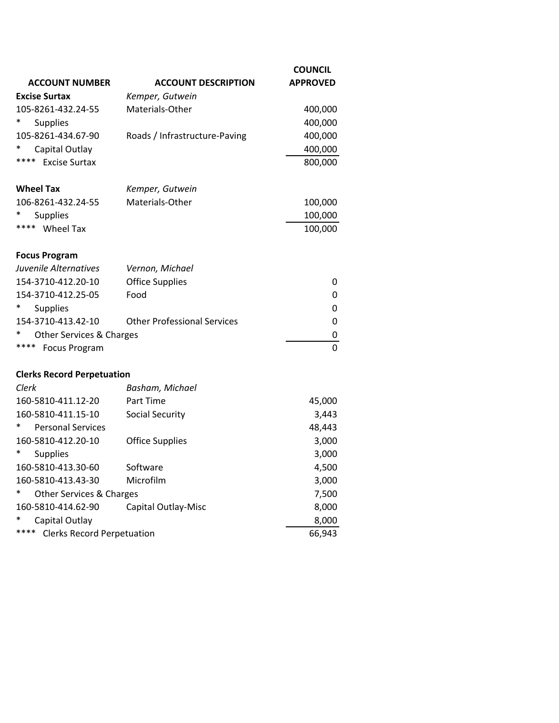|                                           |                                    | <b>COUNCIL</b>  |
|-------------------------------------------|------------------------------------|-----------------|
| <b>ACCOUNT NUMBER</b>                     | <b>ACCOUNT DESCRIPTION</b>         | <b>APPROVED</b> |
| <b>Excise Surtax</b>                      | Kemper, Gutwein                    |                 |
| 105-8261-432.24-55                        | Materials-Other                    | 400,000         |
| <b>Supplies</b>                           |                                    | 400,000         |
| 105-8261-434.67-90                        | Roads / Infrastructure-Paving      | 400,000         |
| Capital Outlay                            |                                    | 400,000         |
| ****<br><b>Excise Surtax</b>              |                                    | 800,000         |
| <b>Wheel Tax</b>                          | Kemper, Gutwein                    |                 |
| 106-8261-432.24-55                        | Materials-Other                    | 100,000         |
| <b>Supplies</b>                           |                                    | 100,000         |
| **** Wheel Tax                            |                                    | 100,000         |
| <b>Focus Program</b>                      |                                    |                 |
| Juvenile Alternatives                     | Vernon, Michael                    |                 |
| 154-3710-412.20-10                        | <b>Office Supplies</b>             | 0               |
| 154-3710-412.25-05                        | Food                               | 0               |
| <b>Supplies</b>                           |                                    | 0               |
| 154-3710-413.42-10                        | <b>Other Professional Services</b> | 0               |
| Other Services & Charges                  |                                    | 0               |
| ****<br><b>Focus Program</b>              |                                    | 0               |
| <b>Clerks Record Perpetuation</b>         |                                    |                 |
| Clerk                                     | Basham, Michael                    |                 |
| 160-5810-411.12-20                        | Part Time                          | 45,000          |
| 160-5810-411.15-10                        | <b>Social Security</b>             | 3,443           |
| <b>Personal Services</b>                  |                                    | 48,443          |
| 160-5810-412.20-10                        | <b>Office Supplies</b>             | 3,000           |
| <b>Supplies</b>                           |                                    | 3,000           |
| 160-5810-413.30-60                        | Software                           | 4,500           |
| 160-5810-413.43-30                        | Microfilm                          | 3,000           |
| <b>Other Services &amp; Charges</b>       |                                    | 7,500           |
| 160-5810-414.62-90                        | Capital Outlay-Misc                | 8,000           |
| Capital Outlay                            |                                    | 8,000           |
| ****<br><b>Clerks Record Perpetuation</b> |                                    | 66,943          |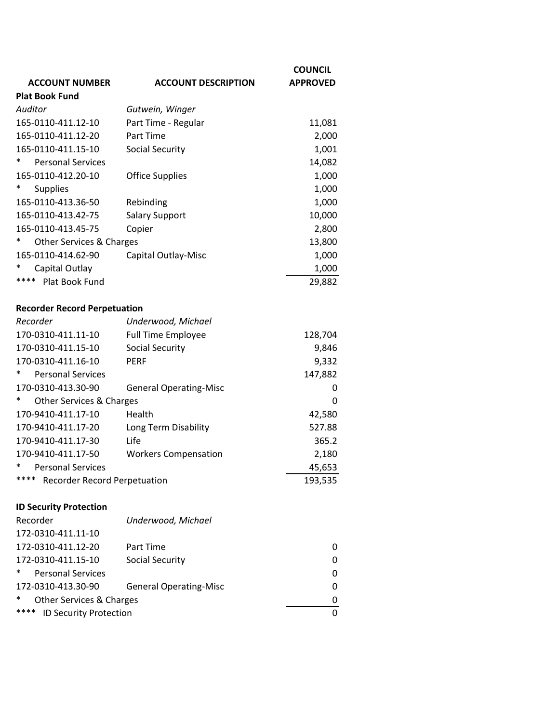|                                     |                            | <b>COUNCIL</b>  |
|-------------------------------------|----------------------------|-----------------|
| <b>ACCOUNT NUMBER</b>               | <b>ACCOUNT DESCRIPTION</b> | <b>APPROVED</b> |
| <b>Plat Book Fund</b>               |                            |                 |
| Auditor                             | Gutwein, Winger            |                 |
| 165-0110-411.12-10                  | Part Time - Regular        | 11,081          |
| 165-0110-411.12-20                  | Part Time                  | 2,000           |
| 165-0110-411.15-10                  | <b>Social Security</b>     | 1,001           |
| <b>Personal Services</b>            |                            | 14,082          |
| 165-0110-412.20-10                  | <b>Office Supplies</b>     | 1,000           |
| <b>Supplies</b>                     |                            | 1,000           |
| 165-0110-413.36-50                  | Rebinding                  | 1,000           |
| 165-0110-413.42-75                  | <b>Salary Support</b>      | 10,000          |
| 165-0110-413.45-75                  | Copier                     | 2,800           |
| ∗<br>Other Services & Charges       |                            | 13,800          |
| 165-0110-414.62-90                  | Capital Outlay-Misc        | 1,000           |
| Capital Outlay                      |                            | 1,000           |
| ****<br><b>Plat Book Fund</b>       |                            | 29,882          |
|                                     |                            |                 |
| <b>Recorder Record Perpetuation</b> |                            |                 |
| Recorder                            | Underwood, Michael         |                 |
| 170-0310-411.11-10                  | <b>Full Time Employee</b>  | 128,704         |
| 170-0310-411.15-10                  | <b>Social Security</b>     | 9,846           |

|        | 170-0310-411.16-10                  | <b>PERF</b>                   | 9,332   |
|--------|-------------------------------------|-------------------------------|---------|
| $\ast$ | <b>Personal Services</b>            |                               | 147,882 |
|        | 170-0310-413.30-90                  | <b>General Operating-Misc</b> | 0       |
| $\ast$ | <b>Other Services &amp; Charges</b> |                               | 0       |
|        | 170-9410-411.17-10                  | Health                        | 42,580  |
|        | 170-9410-411.17-20                  | Long Term Disability          | 527.88  |
|        | 170-9410-411.17-30                  | Life                          | 365.2   |
|        | 170-9410-411.17-50                  | <b>Workers Compensation</b>   | 2,180   |
| $\ast$ | <b>Personal Services</b>            |                               | 45,653  |
| ****   | Recorder Record Perpetuation        |                               | 193,535 |

## **ID Security Protection**

| Recorder                                      | Underwood, Michael            |          |
|-----------------------------------------------|-------------------------------|----------|
| 172-0310-411.11-10                            |                               |          |
| 172-0310-411.12-20                            | Part Time                     | 0        |
| 172-0310-411.15-10                            | Social Security               | 0        |
| $\ast$<br><b>Personal Services</b>            |                               | $\Omega$ |
| 172-0310-413.30-90                            | <b>General Operating-Misc</b> | 0        |
| $\ast$<br><b>Other Services &amp; Charges</b> |                               | $\Omega$ |
| ****<br><b>ID Security Protection</b>         |                               | 0        |
|                                               |                               |          |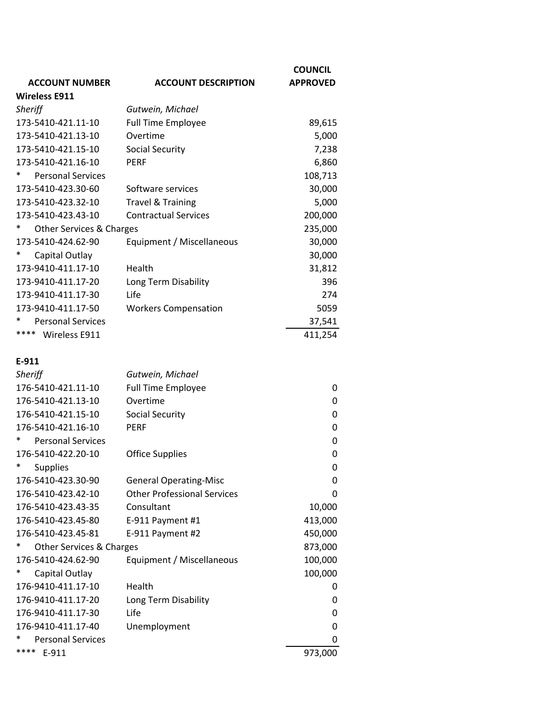|                                    |                                    | <b>COUNCIL</b>  |
|------------------------------------|------------------------------------|-----------------|
| <b>ACCOUNT NUMBER</b>              | <b>ACCOUNT DESCRIPTION</b>         | <b>APPROVED</b> |
| <b>Wireless E911</b>               |                                    |                 |
| Sheriff                            | Gutwein, Michael                   |                 |
| 173-5410-421.11-10                 | <b>Full Time Employee</b>          | 89,615          |
| 173-5410-421.13-10                 | Overtime                           | 5,000           |
| 173-5410-421.15-10                 | <b>Social Security</b>             | 7,238           |
| 173-5410-421.16-10                 | <b>PERF</b>                        | 6,860           |
| *<br><b>Personal Services</b>      |                                    | 108,713         |
| 173-5410-423.30-60                 | Software services                  | 30,000          |
| 173-5410-423.32-10                 | <b>Travel &amp; Training</b>       | 5,000           |
| 173-5410-423.43-10                 | <b>Contractual Services</b>        | 200,000         |
| $\ast$<br>Other Services & Charges |                                    | 235,000         |
| 173-5410-424.62-90                 | Equipment / Miscellaneous          | 30,000          |
| $\ast$<br>Capital Outlay           |                                    | 30,000          |
| 173-9410-411.17-10                 | Health                             | 31,812          |
| 173-9410-411.17-20                 | Long Term Disability               | 396             |
| 173-9410-411.17-30                 | Life                               | 274             |
| 173-9410-411.17-50                 | <b>Workers Compensation</b>        | 5059            |
| *<br><b>Personal Services</b>      |                                    | 37,541          |
| **** Wireless E911                 |                                    | 411,254         |
|                                    |                                    |                 |
| E-911                              |                                    |                 |
| <b>Sheriff</b>                     | Gutwein, Michael                   |                 |
| 176-5410-421.11-10                 | <b>Full Time Employee</b>          | 0               |
| 176-5410-421.13-10                 | Overtime                           | 0               |
| 176-5410-421.15-10                 | <b>Social Security</b>             | 0               |
| 176-5410-421.16-10                 | <b>PERF</b>                        | 0               |
| *<br><b>Personal Services</b>      |                                    | 0               |
| 176-5410-422.20-10                 | <b>Office Supplies</b>             | 0               |
| *<br><b>Supplies</b>               |                                    | 0               |
| 176-5410-423.30-90                 | <b>General Operating-Misc</b>      | 0               |
| 176-5410-423.42-10                 | <b>Other Professional Services</b> | 0               |
| 176-5410-423.43-35                 | Consultant                         | 10,000          |
| 176-5410-423.45-80                 | E-911 Payment #1                   | 413,000         |
| 176-5410-423.45-81                 | E-911 Payment #2                   | 450,000         |
| *<br>Other Services & Charges      |                                    | 873,000         |
| 176-5410-424.62-90                 | Equipment / Miscellaneous          | 100,000         |
| *<br>Capital Outlay                |                                    | 100,000         |
| 176-9410-411.17-10                 | Health                             | 0               |
| 176-9410-411.17-20                 | Long Term Disability               | 0               |
| 176-9410-411.17-30                 | Life                               | 0               |
| 176-9410-411.17-40                 | Unemployment                       | 0               |
| *<br><b>Personal Services</b>      |                                    | 0               |
| ****<br>E-911                      |                                    | 973,000         |
|                                    |                                    |                 |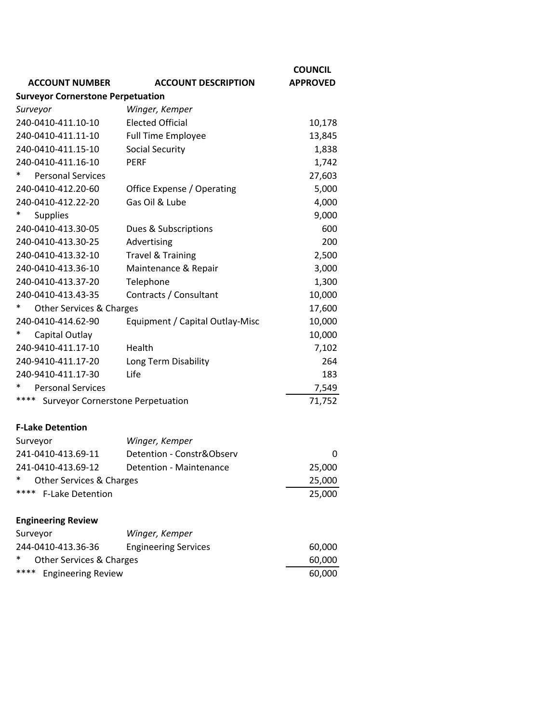| <b>ACCOUNT NUMBER</b>                            | <b>ACCOUNT DESCRIPTION</b>      | <b>COUNCIL</b><br><b>APPROVED</b> |
|--------------------------------------------------|---------------------------------|-----------------------------------|
| <b>Surveyor Cornerstone Perpetuation</b>         |                                 |                                   |
| Surveyor                                         | Winger, Kemper                  |                                   |
| 240-0410-411.10-10                               | <b>Elected Official</b>         | 10,178                            |
| 240-0410-411.11-10                               | <b>Full Time Employee</b>       | 13,845                            |
| 240-0410-411.15-10                               | Social Security                 | 1,838                             |
| 240-0410-411.16-10                               | <b>PERF</b>                     | 1,742                             |
| <b>Personal Services</b>                         |                                 | 27,603                            |
| 240-0410-412.20-60                               | Office Expense / Operating      | 5,000                             |
| 240-0410-412.22-20                               | Gas Oil & Lube                  | 4,000                             |
| <b>Supplies</b>                                  |                                 | 9,000                             |
| 240-0410-413.30-05                               | Dues & Subscriptions            | 600                               |
| 240-0410-413.30-25                               | Advertising                     | 200                               |
| 240-0410-413.32-10                               | <b>Travel &amp; Training</b>    | 2,500                             |
| 240-0410-413.36-10                               | Maintenance & Repair            | 3,000                             |
| 240-0410-413.37-20                               | Telephone                       | 1,300                             |
| 240-0410-413.43-35                               | Contracts / Consultant          | 10,000                            |
| ∗<br>Other Services & Charges                    |                                 | 17,600                            |
| 240-0410-414.62-90                               | Equipment / Capital Outlay-Misc | 10,000                            |
| ∗<br>Capital Outlay                              |                                 | 10,000                            |
| 240-9410-411.17-10                               | Health                          | 7,102                             |
| 240-9410-411.17-20                               | Long Term Disability            | 264                               |
| 240-9410-411.17-30                               | Life                            | 183                               |
| <b>Personal Services</b>                         |                                 | 7,549                             |
| ****<br><b>Surveyor Cornerstone Perpetuation</b> |                                 | 71,752                            |
| <b>F-Lake Detention</b>                          |                                 |                                   |
| Surveyor                                         | Winger, Kemper                  |                                   |
| 241-0410-413.69-11                               | Detention - Constr&Observ       | 0                                 |
| 241-0410-413.69-12                               | Detention - Maintenance         | 25,000                            |
| *<br>Other Services & Charges                    |                                 | 25,000                            |
| ****<br><b>F-Lake Detention</b>                  |                                 | 25,000                            |
| <b>Engineering Review</b>                        |                                 |                                   |
| Surveyor                                         | Winger, Kemper                  |                                   |
| 244-0410-413.36-36                               | <b>Engineering Services</b>     | 60,000                            |
| Other Services & Charges                         |                                 | 60,000                            |
| ****<br><b>Engineering Review</b>                |                                 | 60,000                            |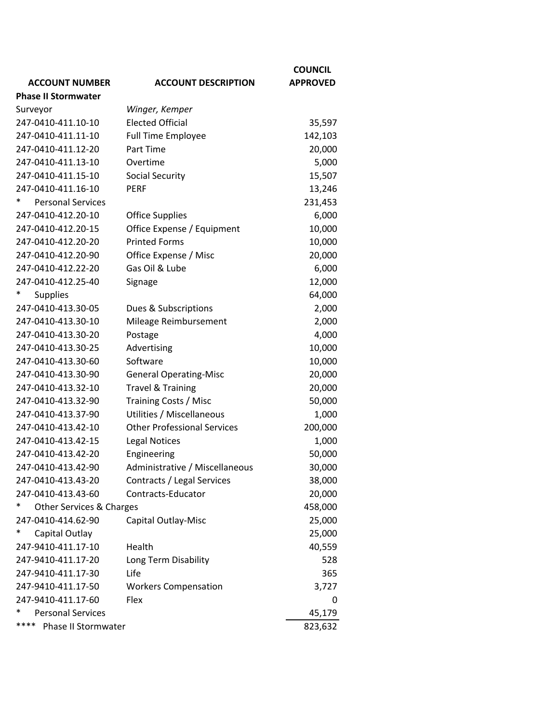|                               |                                    | <b>COUNCIL</b>  |
|-------------------------------|------------------------------------|-----------------|
| <b>ACCOUNT NUMBER</b>         | <b>ACCOUNT DESCRIPTION</b>         | <b>APPROVED</b> |
| <b>Phase II Stormwater</b>    |                                    |                 |
| Surveyor                      | Winger, Kemper                     |                 |
| 247-0410-411.10-10            | <b>Elected Official</b>            | 35,597          |
| 247-0410-411.11-10            | <b>Full Time Employee</b>          | 142,103         |
| 247-0410-411.12-20            | Part Time                          | 20,000          |
| 247-0410-411.13-10            | Overtime                           | 5,000           |
| 247-0410-411.15-10            | <b>Social Security</b>             | 15,507          |
| 247-0410-411.16-10            | <b>PERF</b>                        | 13,246          |
| *<br><b>Personal Services</b> |                                    | 231,453         |
| 247-0410-412.20-10            | <b>Office Supplies</b>             | 6,000           |
| 247-0410-412.20-15            | Office Expense / Equipment         | 10,000          |
| 247-0410-412.20-20            | <b>Printed Forms</b>               | 10,000          |
| 247-0410-412.20-90            | Office Expense / Misc              | 20,000          |
| 247-0410-412.22-20            | Gas Oil & Lube                     | 6,000           |
| 247-0410-412.25-40            | Signage                            | 12,000          |
| *<br><b>Supplies</b>          |                                    | 64,000          |
| 247-0410-413.30-05            | Dues & Subscriptions               | 2,000           |
| 247-0410-413.30-10            | Mileage Reimbursement              | 2,000           |
| 247-0410-413.30-20            | Postage                            | 4,000           |
| 247-0410-413.30-25            | Advertising                        | 10,000          |
| 247-0410-413.30-60            | Software                           | 10,000          |
| 247-0410-413.30-90            | <b>General Operating-Misc</b>      | 20,000          |
| 247-0410-413.32-10            | <b>Travel &amp; Training</b>       | 20,000          |
| 247-0410-413.32-90            | Training Costs / Misc              | 50,000          |
| 247-0410-413.37-90            | Utilities / Miscellaneous          | 1,000           |
| 247-0410-413.42-10            | <b>Other Professional Services</b> | 200,000         |
| 247-0410-413.42-15            | <b>Legal Notices</b>               | 1,000           |
| 247-0410-413.42-20            | Engineering                        | 50,000          |
| 247-0410-413.42-90            | Administrative / Miscellaneous     | 30,000          |
| 247-0410-413.43-20            | Contracts / Legal Services         | 38,000          |
| 247-0410-413.43-60            | Contracts-Educator                 | 20,000          |
| *<br>Other Services & Charges |                                    | 458,000         |
| 247-0410-414.62-90            | Capital Outlay-Misc                | 25,000          |
| *<br>Capital Outlay           |                                    | 25,000          |
| 247-9410-411.17-10            | Health                             | 40,559          |
| 247-9410-411.17-20            | Long Term Disability               | 528             |
| 247-9410-411.17-30            | Life                               | 365             |
| 247-9410-411.17-50            | <b>Workers Compensation</b>        | 3,727           |
| 247-9410-411.17-60            | Flex                               | 0               |
| <b>Personal Services</b>      |                                    | 45,179          |
| ****<br>Phase II Stormwater   |                                    | 823,632         |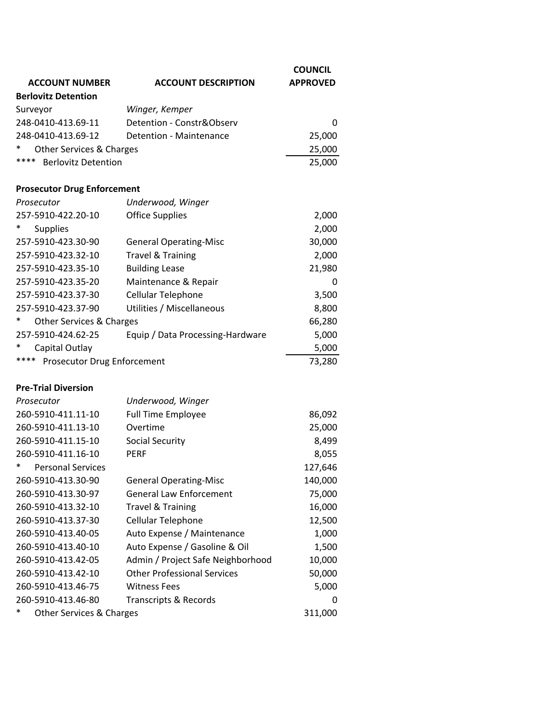|                                            |                                    | <b>COUNCIL</b>  |
|--------------------------------------------|------------------------------------|-----------------|
| <b>ACCOUNT NUMBER</b>                      | <b>ACCOUNT DESCRIPTION</b>         | <b>APPROVED</b> |
| <b>Berlovitz Detention</b>                 |                                    |                 |
| Surveyor                                   | Winger, Kemper                     |                 |
| 248-0410-413.69-11                         | Detention - Constr&Observ          | 0               |
| 248-0410-413.69-12                         | Detention - Maintenance            | 25,000          |
| Other Services & Charges                   |                                    | 25,000          |
| ****<br><b>Berlovitz Detention</b>         |                                    | 25,000          |
| <b>Prosecutor Drug Enforcement</b>         |                                    |                 |
| Prosecutor                                 | Underwood, Winger                  |                 |
| 257-5910-422.20-10                         | <b>Office Supplies</b>             | 2,000           |
| <b>Supplies</b>                            |                                    | 2,000           |
| 257-5910-423.30-90                         | <b>General Operating-Misc</b>      | 30,000          |
| 257-5910-423.32-10                         | <b>Travel &amp; Training</b>       | 2,000           |
| 257-5910-423.35-10                         | <b>Building Lease</b>              | 21,980          |
| 257-5910-423.35-20                         | Maintenance & Repair               | 0               |
| 257-5910-423.37-30                         | Cellular Telephone                 | 3,500           |
| 257-5910-423.37-90                         | Utilities / Miscellaneous          | 8,800           |
| Other Services & Charges                   |                                    | 66,280          |
| 257-5910-424.62-25                         | Equip / Data Processing-Hardware   | 5,000           |
| ∗<br>Capital Outlay                        |                                    | 5,000           |
| ****<br><b>Prosecutor Drug Enforcement</b> |                                    | 73,280          |
| <b>Pre-Trial Diversion</b>                 |                                    |                 |
| Prosecutor                                 | Underwood, Winger                  |                 |
| 260-5910-411.11-10                         | <b>Full Time Employee</b>          | 86,092          |
| 260-5910-411.13-10                         | Overtime                           | 25,000          |
| 260-5910-411.15-10                         | <b>Social Security</b>             | 8,499           |
| 260-5910-411.16-10                         | <b>PERF</b>                        | 8,055           |
| $\ast$<br><b>Personal Services</b>         |                                    | 127,646         |
| 260-5910-413.30-90                         | <b>General Operating-Misc</b>      | 140,000         |
| 260-5910-413.30-97                         | <b>General Law Enforcement</b>     | 75,000          |
| 260-5910-413.32-10                         | <b>Travel &amp; Training</b>       | 16,000          |
| 260-5910-413.37-30                         | Cellular Telephone                 | 12,500          |
| 260-5910-413.40-05                         | Auto Expense / Maintenance         | 1,000           |
| 260-5910-413.40-10                         | Auto Expense / Gasoline & Oil      | 1,500           |
| 260-5910-413.42-05                         | Admin / Project Safe Neighborhood  | 10,000          |
| 260-5910-413.42-10                         | <b>Other Professional Services</b> | 50,000          |
| 260-5910-413.46-75                         | <b>Witness Fees</b>                | 5,000           |
| 260-5910-413.46-80                         | <b>Transcripts &amp; Records</b>   | 0               |
| ∗<br>Other Services & Charges              |                                    | 311,000         |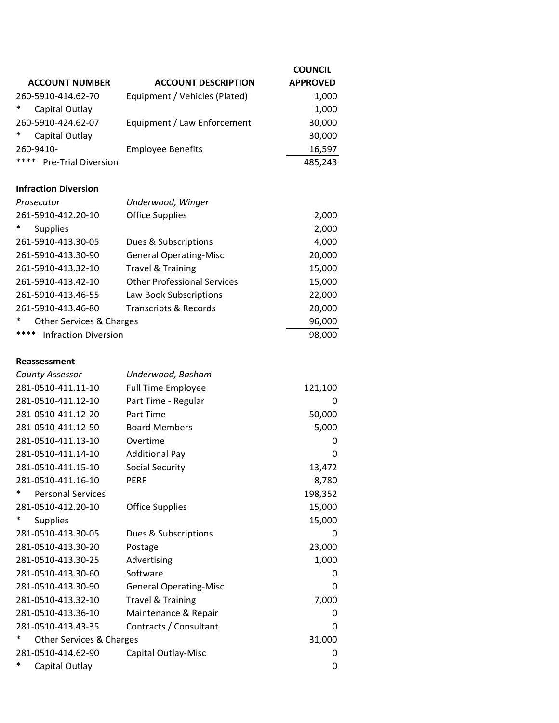|                                     |                                    | <b>COUNCIL</b>  |
|-------------------------------------|------------------------------------|-----------------|
| <b>ACCOUNT NUMBER</b>               | <b>ACCOUNT DESCRIPTION</b>         | <b>APPROVED</b> |
| 260-5910-414.62-70                  | Equipment / Vehicles (Plated)      | 1,000           |
| ∗<br>Capital Outlay                 |                                    | 1,000           |
| 260-5910-424.62-07                  | Equipment / Law Enforcement        | 30,000          |
| ∗<br>Capital Outlay                 |                                    | 30,000          |
| 260-9410-                           | <b>Employee Benefits</b>           | 16,597          |
| ****<br><b>Pre-Trial Diversion</b>  |                                    | 485,243         |
| <b>Infraction Diversion</b>         |                                    |                 |
| Prosecutor                          | Underwood, Winger                  |                 |
| 261-5910-412.20-10                  | <b>Office Supplies</b>             | 2,000           |
| <b>Supplies</b>                     |                                    | 2,000           |
| 261-5910-413.30-05                  | Dues & Subscriptions               | 4,000           |
| 261-5910-413.30-90                  | <b>General Operating-Misc</b>      | 20,000          |
| 261-5910-413.32-10                  | <b>Travel &amp; Training</b>       | 15,000          |
| 261-5910-413.42-10                  | <b>Other Professional Services</b> | 15,000          |
| 261-5910-413.46-55                  | Law Book Subscriptions             | 22,000          |
| 261-5910-413.46-80                  | <b>Transcripts &amp; Records</b>   | 20,000          |
| Other Services & Charges            |                                    | 96,000          |
| ****<br><b>Infraction Diversion</b> |                                    | 98,000          |
| <b>Reassessment</b>                 |                                    |                 |
| <b>County Assessor</b>              | Underwood, Basham                  |                 |
| 281-0510-411.11-10                  | <b>Full Time Employee</b>          | 121,100         |
| 281-0510-411.12-10                  | Part Time - Regular                | 0               |
| 281-0510-411.12-20                  | Part Time                          | 50,000          |
| 281-0510-411.12-50                  | <b>Board Members</b>               | 5,000           |
| 281-0510-411.13-10                  | Overtime                           | 0               |
| 281-0510-411.14-10                  | <b>Additional Pay</b>              | 0               |
| 281-0510-411.15-10                  | <b>Social Security</b>             | 13,472          |
| 281-0510-411.16-10                  | <b>PERF</b>                        | 8,780           |
| $\ast$<br><b>Personal Services</b>  |                                    | 198,352         |
| 281-0510-412.20-10                  | <b>Office Supplies</b>             | 15,000          |
| $\ast$<br><b>Supplies</b>           |                                    | 15,000          |
| 281-0510-413.30-05                  | Dues & Subscriptions               | 0               |
| 281-0510-413.30-20                  | Postage                            | 23,000          |
| 281-0510-413.30-25                  | Advertising                        | 1,000           |
| 281-0510-413.30-60                  | Software                           | 0               |
| 281-0510-413.30-90                  | <b>General Operating-Misc</b>      | 0               |
| 281-0510-413.32-10                  | <b>Travel &amp; Training</b>       | 7,000           |
| 281-0510-413.36-10                  | Maintenance & Repair               | 0               |
| 281-0510-413.43-35                  | Contracts / Consultant             | 0               |
| ∗<br>Other Services & Charges       |                                    | 31,000          |
| 281-0510-414.62-90                  | Capital Outlay-Misc                | 0               |
| ∗<br>Capital Outlay                 |                                    | 0               |
|                                     |                                    |                 |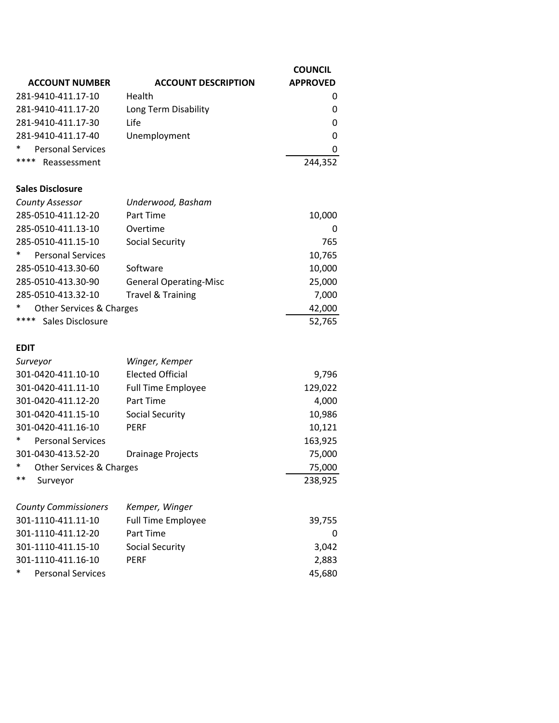| <b>ACCOUNT NUMBER</b>              | <b>ACCOUNT DESCRIPTION</b>    | <b>COUNCIL</b><br><b>APPROVED</b> |
|------------------------------------|-------------------------------|-----------------------------------|
| 281-9410-411.17-10                 | Health                        | 0                                 |
| 281-9410-411.17-20                 | Long Term Disability          | 0                                 |
| 281-9410-411.17-30                 | Life                          | 0                                 |
| 281-9410-411.17-40                 | Unemployment                  | 0                                 |
| *<br><b>Personal Services</b>      |                               | 0                                 |
| ****<br>Reassessment               |                               | 244,352                           |
| <b>Sales Disclosure</b>            |                               |                                   |
| <b>County Assessor</b>             | Underwood, Basham             |                                   |
| 285-0510-411.12-20                 | Part Time                     | 10,000                            |
| 285-0510-411.13-10                 | Overtime                      | 0                                 |
| 285-0510-411.15-10                 | <b>Social Security</b>        | 765                               |
| $\ast$<br><b>Personal Services</b> |                               | 10,765                            |
| 285-0510-413.30-60                 | Software                      | 10,000                            |
| 285-0510-413.30-90                 | <b>General Operating-Misc</b> | 25,000                            |
| 285-0510-413.32-10                 | <b>Travel &amp; Training</b>  | 7,000                             |
| $\ast$<br>Other Services & Charges |                               | 42,000                            |
| ****<br>Sales Disclosure           |                               | 52,765                            |
| <b>EDIT</b>                        |                               |                                   |
| Surveyor                           | Winger, Kemper                |                                   |
| 301-0420-411.10-10                 | <b>Elected Official</b>       | 9,796                             |
| 301-0420-411.11-10                 | <b>Full Time Employee</b>     | 129,022                           |
| 301-0420-411.12-20                 | Part Time                     | 4,000                             |
| 301-0420-411.15-10                 | <b>Social Security</b>        | 10,986                            |
| 301-0420-411.16-10                 | PERF                          | 10,121                            |
| *<br><b>Personal Services</b>      |                               | 163,925                           |
| 301-0430-413.52-20                 | <b>Drainage Projects</b>      | 75,000                            |
| $\ast$<br>Other Services & Charges |                               | 75,000                            |
| $***$<br>Surveyor                  |                               | 238,925                           |
| <b>County Commissioners</b>        | Kemper, Winger                |                                   |
|                                    |                               |                                   |

| COUNTY COMMISSIONERS               | <i>Kemper, winger</i>     |              |
|------------------------------------|---------------------------|--------------|
| 301-1110-411.11-10                 | <b>Full Time Employee</b> | 39,755       |
| 301-1110-411.12-20                 | Part Time                 | <sup>0</sup> |
| 301-1110-411.15-10                 | Social Security           | 3.042        |
| 301-1110-411.16-10                 | <b>PFRF</b>               | 2.883        |
| $\ast$<br><b>Personal Services</b> |                           | 45,680       |
|                                    |                           |              |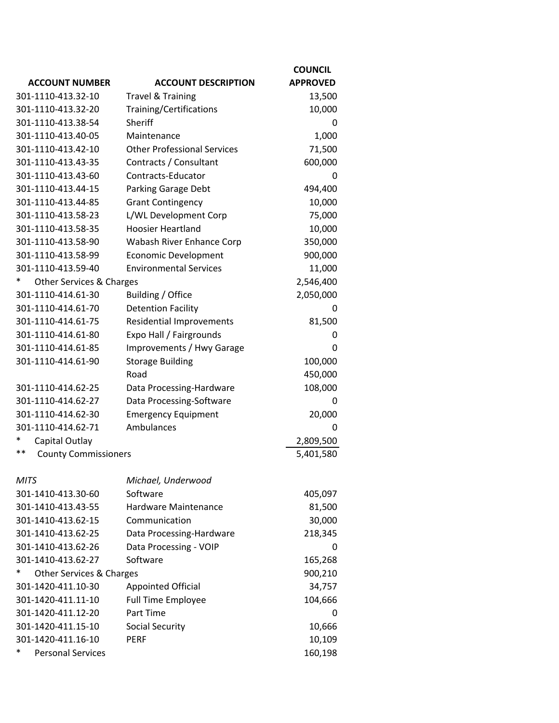|                                   |                                    | <b>COUNCIL</b>  |
|-----------------------------------|------------------------------------|-----------------|
| <b>ACCOUNT NUMBER</b>             | <b>ACCOUNT DESCRIPTION</b>         | <b>APPROVED</b> |
| 301-1110-413.32-10                | <b>Travel &amp; Training</b>       | 13,500          |
| 301-1110-413.32-20                | Training/Certifications            | 10,000          |
| 301-1110-413.38-54                | Sheriff                            | 0               |
| 301-1110-413.40-05                | Maintenance                        | 1,000           |
| 301-1110-413.42-10                | <b>Other Professional Services</b> | 71,500          |
| 301-1110-413.43-35                | Contracts / Consultant             | 600,000         |
| 301-1110-413.43-60                | Contracts-Educator                 | 0               |
| 301-1110-413.44-15                | Parking Garage Debt                | 494,400         |
| 301-1110-413.44-85                | <b>Grant Contingency</b>           | 10,000          |
| 301-1110-413.58-23                | L/WL Development Corp              | 75,000          |
| 301-1110-413.58-35                | <b>Hoosier Heartland</b>           | 10,000          |
| 301-1110-413.58-90                | Wabash River Enhance Corp          | 350,000         |
| 301-1110-413.58-99                | <b>Economic Development</b>        | 900,000         |
| 301-1110-413.59-40                | <b>Environmental Services</b>      | 11,000          |
| *<br>Other Services & Charges     |                                    | 2,546,400       |
| 301-1110-414.61-30                | Building / Office                  | 2,050,000       |
| 301-1110-414.61-70                | <b>Detention Facility</b>          | 0               |
| 301-1110-414.61-75                | <b>Residential Improvements</b>    | 81,500          |
| 301-1110-414.61-80                | Expo Hall / Fairgrounds            | 0               |
| 301-1110-414.61-85                | Improvements / Hwy Garage          | 0               |
| 301-1110-414.61-90                | <b>Storage Building</b>            | 100,000         |
|                                   | Road                               | 450,000         |
| 301-1110-414.62-25                | Data Processing-Hardware           | 108,000         |
| 301-1110-414.62-27                | Data Processing-Software           | 0               |
| 301-1110-414.62-30                | <b>Emergency Equipment</b>         | 20,000          |
| 301-1110-414.62-71                | Ambulances                         | 0               |
| *<br>Capital Outlay               |                                    | 2,809,500       |
| **<br><b>County Commissioners</b> |                                    | 5,401,580       |
|                                   |                                    |                 |
| <b>MITS</b>                       | Michael, Underwood                 |                 |
| 301-1410-413.30-60                | Software                           | 405,097         |
| 301-1410-413.43-55                | Hardware Maintenance               | 81,500          |
| 301-1410-413.62-15                | Communication                      | 30,000          |
| 301-1410-413.62-25                | Data Processing-Hardware           | 218,345         |
| 301-1410-413.62-26                | Data Processing - VOIP             | 0               |
| 301-1410-413.62-27                | Software                           | 165,268         |
| Other Services & Charges          |                                    | 900,210         |
| 301-1420-411.10-30                | <b>Appointed Official</b>          | 34,757          |
| 301-1420-411.11-10                | <b>Full Time Employee</b>          | 104,666         |
| 301-1420-411.12-20                | Part Time                          | 0               |
| 301-1420-411.15-10                | <b>Social Security</b>             | 10,666          |
| 301-1420-411.16-10                | <b>PERF</b>                        | 10,109          |
| *<br><b>Personal Services</b>     |                                    | 160,198         |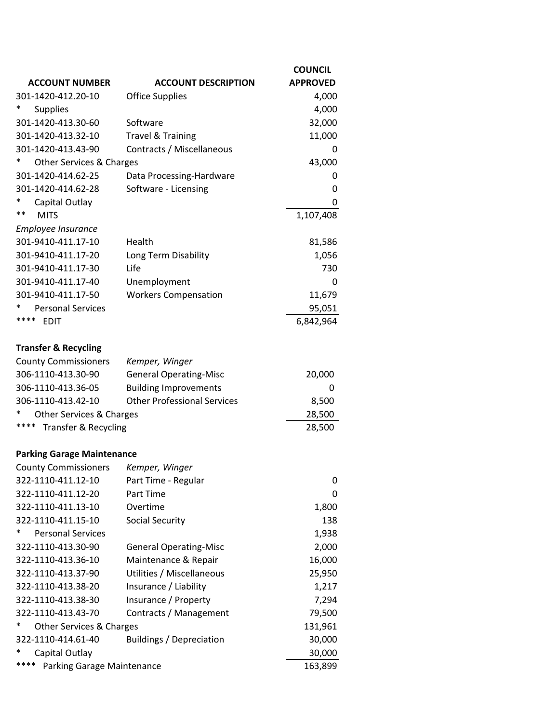|                                    |                                    | <b>COUNCIL</b>  |
|------------------------------------|------------------------------------|-----------------|
| <b>ACCOUNT NUMBER</b>              | <b>ACCOUNT DESCRIPTION</b>         | <b>APPROVED</b> |
| 301-1420-412.20-10                 | <b>Office Supplies</b>             | 4,000           |
| <b>Supplies</b>                    |                                    | 4,000           |
| 301-1420-413.30-60                 | Software                           | 32,000          |
| 301-1420-413.32-10                 | <b>Travel &amp; Training</b>       | 11,000          |
| 301-1420-413.43-90                 | Contracts / Miscellaneous          | 0               |
| Other Services & Charges           |                                    | 43,000          |
| 301-1420-414.62-25                 | Data Processing-Hardware           | 0               |
| 301-1420-414.62-28                 | Software - Licensing               | 0               |
| Capital Outlay                     |                                    | 0               |
| $***$<br><b>MITS</b>               |                                    | 1,107,408       |
| Employee Insurance                 |                                    |                 |
| 301-9410-411.17-10                 | Health                             | 81,586          |
| 301-9410-411.17-20                 | Long Term Disability               | 1,056           |
| 301-9410-411.17-30                 | Life                               | 730             |
| 301-9410-411.17-40                 | Unemployment                       | 0               |
| 301-9410-411.17-50                 | <b>Workers Compensation</b>        | 11,679          |
| <b>Personal Services</b>           |                                    | 95,051          |
| ****<br><b>EDIT</b>                |                                    | 6,842,964       |
|                                    |                                    |                 |
| <b>Transfer &amp; Recycling</b>    |                                    |                 |
| <b>County Commissioners</b>        | Kemper, Winger                     |                 |
| 306-1110-413.30-90                 | <b>General Operating-Misc</b>      | 20,000          |
| 306-1110-413.36-05                 | <b>Building Improvements</b>       | 0               |
| 306-1110-413.42-10                 | <b>Other Professional Services</b> | 8,500           |
| ∗<br>Other Services & Charges      |                                    | 28,500          |
| **** Transfer & Recycling          |                                    | 28,500          |
| <b>Parking Garage Maintenance</b>  |                                    |                 |
| <b>County Commissioners</b>        | Kemper, Winger                     |                 |
| 322-1110-411.12-10                 | Part Time - Regular                | 0               |
| 322-1110-411.12-20                 | Part Time                          | 0               |
| 322-1110-411.13-10                 | Overtime                           | 1,800           |
| 322-1110-411.15-10                 | <b>Social Security</b>             | 138             |
| *<br><b>Personal Services</b>      |                                    | 1,938           |
| 322-1110-413.30-90                 | <b>General Operating-Misc</b>      | 2,000           |
| 322-1110-413.36-10                 | Maintenance & Repair               | 16,000          |
| 322-1110-413.37-90                 | Utilities / Miscellaneous          | 25,950          |
| 322-1110-413.38-20                 | Insurance / Liability              | 1,217           |
| 322-1110-413.38-30                 | Insurance / Property               | 7,294           |
| 322-1110-413.43-70                 | Contracts / Management             | 79,500          |
| ∗<br>Other Services & Charges      |                                    | 131,961         |
| 322-1110-414.61-40                 | <b>Buildings / Depreciation</b>    | 30,000          |
| ∗<br>Capital Outlay                |                                    | 30,000          |
| ****<br>Parking Garage Maintenance |                                    | 163,899         |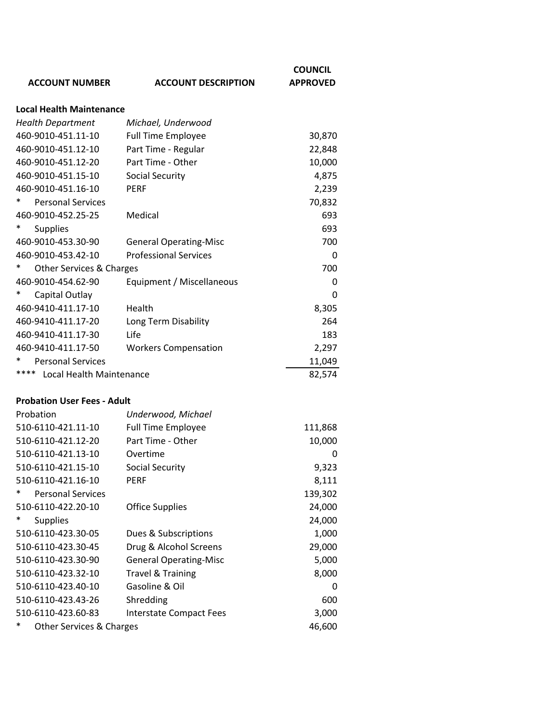|                                    |                                | <b>COUNCIL</b>  |
|------------------------------------|--------------------------------|-----------------|
| <b>ACCOUNT NUMBER</b>              | <b>ACCOUNT DESCRIPTION</b>     | <b>APPROVED</b> |
| <b>Local Health Maintenance</b>    |                                |                 |
| <b>Health Department</b>           | Michael, Underwood             |                 |
| 460-9010-451.11-10                 | <b>Full Time Employee</b>      | 30,870          |
| 460-9010-451.12-10                 | Part Time - Regular            | 22,848          |
| 460-9010-451.12-20                 | Part Time - Other              | 10,000          |
| 460-9010-451.15-10                 | <b>Social Security</b>         | 4,875           |
| 460-9010-451.16-10                 | <b>PERF</b>                    | 2,239           |
| <b>Personal Services</b>           |                                | 70,832          |
| 460-9010-452.25-25                 | Medical                        | 693             |
| *<br><b>Supplies</b>               |                                | 693             |
| 460-9010-453.30-90                 | <b>General Operating-Misc</b>  | 700             |
| 460-9010-453.42-10                 | <b>Professional Services</b>   | 0               |
| Other Services & Charges           |                                | 700             |
| 460-9010-454.62-90                 | Equipment / Miscellaneous      | 0               |
| *<br>Capital Outlay                |                                | 0               |
| 460-9410-411.17-10                 | Health                         | 8,305           |
| 460-9410-411.17-20                 | Long Term Disability           | 264             |
| 460-9410-411.17-30                 | Life                           | 183             |
| 460-9410-411.17-50                 | <b>Workers Compensation</b>    | 2,297           |
| <b>Personal Services</b>           |                                | 11,049          |
| ****<br>Local Health Maintenance   |                                | 82,574          |
| <b>Probation User Fees - Adult</b> |                                |                 |
| Probation                          | Underwood, Michael             |                 |
| 510-6110-421.11-10                 | <b>Full Time Employee</b>      | 111,868         |
| 510-6110-421.12-20                 | Part Time - Other              | 10,000          |
| 510-6110-421.13-10                 | Overtime                       | Ω               |
| 510-6110-421.15-10                 | <b>Social Security</b>         | 9,323           |
| 510-6110-421.16-10                 | PERF                           | 8,111           |
| *<br><b>Personal Services</b>      |                                | 139,302         |
| 510-6110-422.20-10                 | <b>Office Supplies</b>         | 24,000          |
| *<br><b>Supplies</b>               |                                | 24,000          |
| 510-6110-423.30-05                 | Dues & Subscriptions           | 1,000           |
| 510-6110-423.30-45                 | Drug & Alcohol Screens         | 29,000          |
| 510-6110-423.30-90                 | <b>General Operating-Misc</b>  | 5,000           |
| 510-6110-423.32-10                 | <b>Travel &amp; Training</b>   | 8,000           |
| 510-6110-423.40-10                 | Gasoline & Oil                 | 0               |
| 510-6110-423.43-26                 | Shredding                      | 600             |
| 510-6110-423.60-83                 | <b>Interstate Compact Fees</b> | 3,000           |
| Other Services & Charges           |                                | 46,600          |
|                                    |                                |                 |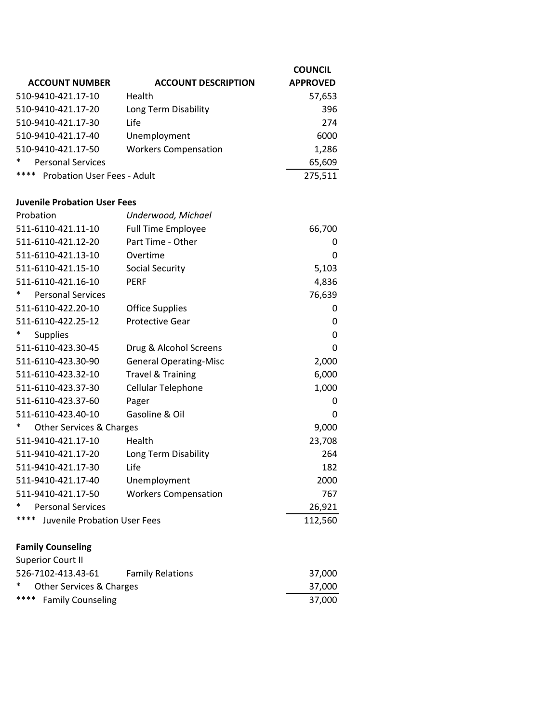|                                             |                               | <b>COUNCIL</b>  |
|---------------------------------------------|-------------------------------|-----------------|
| <b>ACCOUNT NUMBER</b>                       | <b>ACCOUNT DESCRIPTION</b>    | <b>APPROVED</b> |
| 510-9410-421.17-10                          | Health                        | 57,653          |
| 510-9410-421.17-20                          | Long Term Disability          | 396             |
| 510-9410-421.17-30                          | Life                          | 274             |
| 510-9410-421.17-40                          | Unemployment                  | 6000            |
| 510-9410-421.17-50                          | <b>Workers Compensation</b>   | 1,286           |
| <b>Personal Services</b>                    |                               | 65,609          |
| ****<br><b>Probation User Fees - Adult</b>  |                               | 275,511         |
|                                             |                               |                 |
| <b>Juvenile Probation User Fees</b>         |                               |                 |
| Probation                                   | Underwood, Michael            |                 |
| 511-6110-421.11-10                          | <b>Full Time Employee</b>     | 66,700          |
| 511-6110-421.12-20                          | Part Time - Other             | 0               |
| 511-6110-421.13-10                          | Overtime                      | 0               |
| 511-6110-421.15-10                          | <b>Social Security</b>        | 5,103           |
| 511-6110-421.16-10                          | <b>PERF</b>                   | 4,836           |
| ∗<br><b>Personal Services</b>               |                               | 76,639          |
| 511-6110-422.20-10                          | <b>Office Supplies</b>        | 0               |
| 511-6110-422.25-12                          | <b>Protective Gear</b>        | 0               |
| <b>Supplies</b>                             |                               | 0               |
| 511-6110-423.30-45                          | Drug & Alcohol Screens        | 0               |
| 511-6110-423.30-90                          | <b>General Operating-Misc</b> | 2,000           |
| 511-6110-423.32-10                          | <b>Travel &amp; Training</b>  | 6,000           |
| 511-6110-423.37-30                          | Cellular Telephone            | 1,000           |
| 511-6110-423.37-60                          | Pager                         | 0               |
| 511-6110-423.40-10                          | Gasoline & Oil                | 0               |
| ∗<br><b>Other Services &amp; Charges</b>    |                               | 9,000           |
| 511-9410-421.17-10                          | Health                        | 23,708          |
| 511-9410-421.17-20                          | Long Term Disability          | 264             |
| 511-9410-421.17-30                          | Life                          | 182             |
| 511-9410-421.17-40                          | Unemployment                  | 2000            |
| 511-9410-421.17-50                          | <b>Workers Compensation</b>   | 767             |
| <b>Personal Services</b>                    |                               | 26,921          |
| ****<br><b>Juvenile Probation User Fees</b> |                               | 112,560         |
| <b>Family Counseling</b>                    |                               |                 |
| <b>Superior Court II</b>                    |                               |                 |
| 526-7102-413.43-61                          | <b>Family Relations</b>       | 37,000          |
| *<br>Other Services & Charges               |                               | 37,000          |

\*\*\*\* Family Counseling 37,000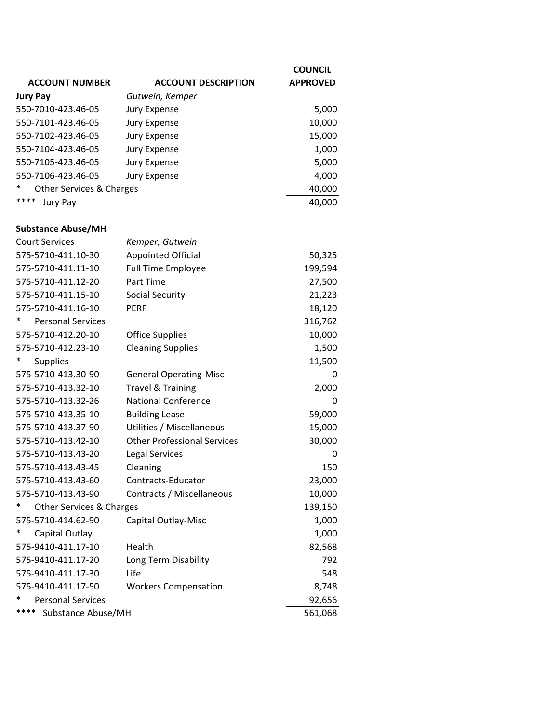|                               |                                    | <b>COUNCIL</b>  |
|-------------------------------|------------------------------------|-----------------|
| <b>ACCOUNT NUMBER</b>         | <b>ACCOUNT DESCRIPTION</b>         | <b>APPROVED</b> |
| <b>Jury Pay</b>               | Gutwein, Kemper                    |                 |
| 550-7010-423.46-05            | <b>Jury Expense</b>                | 5,000           |
| 550-7101-423.46-05            | <b>Jury Expense</b>                | 10,000          |
| 550-7102-423.46-05            | <b>Jury Expense</b>                | 15,000          |
| 550-7104-423.46-05            | <b>Jury Expense</b>                | 1,000           |
| 550-7105-423.46-05            | <b>Jury Expense</b>                | 5,000           |
| 550-7106-423.46-05            | <b>Jury Expense</b>                | 4,000           |
| Other Services & Charges      |                                    | 40,000          |
| ****<br>Jury Pay              |                                    | 40,000          |
|                               |                                    |                 |
| <b>Substance Abuse/MH</b>     |                                    |                 |
| <b>Court Services</b>         | Kemper, Gutwein                    |                 |
| 575-5710-411.10-30            | <b>Appointed Official</b>          | 50,325          |
| 575-5710-411.11-10            | <b>Full Time Employee</b>          | 199,594         |
| 575-5710-411.12-20            | Part Time                          | 27,500          |
| 575-5710-411.15-10            | <b>Social Security</b>             | 21,223          |
| 575-5710-411.16-10            | <b>PERF</b>                        | 18,120          |
| <b>Personal Services</b>      |                                    | 316,762         |
| 575-5710-412.20-10            | <b>Office Supplies</b>             | 10,000          |
| 575-5710-412.23-10            | <b>Cleaning Supplies</b>           | 1,500           |
| <b>Supplies</b>               |                                    | 11,500          |
| 575-5710-413.30-90            | <b>General Operating-Misc</b>      | 0               |
| 575-5710-413.32-10            | <b>Travel &amp; Training</b>       | 2,000           |
| 575-5710-413.32-26            | <b>National Conference</b>         | 0               |
| 575-5710-413.35-10            | <b>Building Lease</b>              | 59,000          |
| 575-5710-413.37-90            | Utilities / Miscellaneous          | 15,000          |
| 575-5710-413.42-10            | <b>Other Professional Services</b> | 30,000          |
| 575-5710-413.43-20            | <b>Legal Services</b>              | 0               |
| 575-5710-413.43-45            | Cleaning                           | 150             |
| 575-5710-413.43-60            | Contracts-Educator                 | 23,000          |
| 575-5710-413.43-90            | Contracts / Miscellaneous          | 10,000          |
| ∗<br>Other Services & Charges |                                    | 139,150         |
| 575-5710-414.62-90            | Capital Outlay-Misc                | 1,000           |
| ∗<br>Capital Outlay           |                                    | 1,000           |
| 575-9410-411.17-10            | Health                             | 82,568          |
| 575-9410-411.17-20            | Long Term Disability               | 792             |
| 575-9410-411.17-30            | Life                               | 548             |
| 575-9410-411.17-50            | <b>Workers Compensation</b>        | 8,748           |
| <b>Personal Services</b>      |                                    | 92,656          |
| ****<br>Substance Abuse/MH    |                                    | 561,068         |